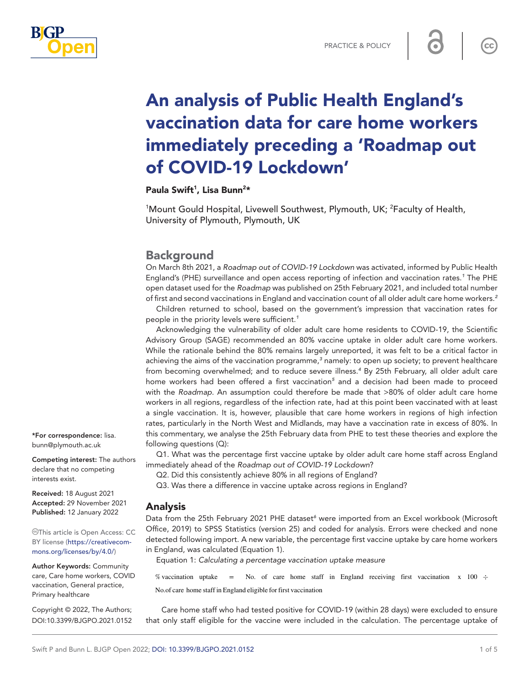

8

 $cc$ 

# An analysis of Public Health England's vaccination data for care home workers immediately preceding a 'Roadmap out of COVID-19 Lockdown'

Paula Swift<sup>1</sup>, Lisa Bunn<sup>2\*</sup>

<sup>1</sup>Mount Gould Hospital, Livewell Southwest, Plymouth, UK; <sup>2</sup>Faculty of Health, University of Plymouth, Plymouth, UK

## **Background**

On March 8th 2021, a *Roadmap out of COVID-19 Lockdown* was activated, informed by Public Health England's (PHE) surveillance and open access reporting of infection and vaccination rates.*[1](#page-3-0)* The PHE open dataset used for the *Roadmap* was published on 25th February 2021, and included total number of first and second vaccinations in England and vaccination count of all older adult care home workers.*[2](#page-3-1)*

Children returned to school, based on the government's impression that vaccination rates for people in the priority levels were sufficient.*[1](#page-3-0)*

Acknowledging the vulnerability of older adult care home residents to COVID-19, the Scientific Advisory Group (SAGE) recommended an 80% vaccine uptake in older adult care home workers. While the rationale behind the 80% remains largely unreported, it was felt to be a critical factor in achieving the aims of the vaccination programme,<sup>[3](#page-3-2)</sup> namely: to open up society; to prevent healthcare from becoming overwhelmed; and to reduce severe illness.*[4](#page-3-3)* By 25th February, all older adult care home workers had been offered a first vaccination*[5](#page-3-4)* and a decision had been made to proceed with the *Roadmap*. An assumption could therefore be made that >80% of older adult care home workers in all regions, regardless of the infection rate, had at this point been vaccinated with at least a single vaccination. It is, however, plausible that care home workers in regions of high infection rates, particularly in the North West and Midlands, may have a vaccination rate in excess of 80%. In this commentary, we analyse the 25th February data from PHE to test these theories and explore the following questions (Q):

Q1. What was the percentage first vaccine uptake by older adult care home staff across England immediately ahead of the *Roadmap out of COVID-19 Lockdown*?

Q2. Did this consistently achieve 80% in all regions of England?

Q3. Was there a difference in vaccine uptake across regions in England?

### Analysis

Data from the 25th February 2021 PHE dataset<sup>[6](#page-3-5)</sup> were imported from an Excel workbook (Microsoft Office, 2019) to SPSS Statistics (version 25) and coded for analysis. Errors were checked and none detected following import. A new variable, the percentage first vaccine uptake by care home workers in England, was calculated (Equation 1).

Equation 1: *Calculating a percentage vaccination uptake measure*

% vaccination uptake = No. of care home staff in England receiving first vaccination  $x$  100  $\div$ No.of care home staff in England eligible for first vaccination

Care home staff who had tested positive for COVID-19 (within 28 days) were excluded to ensure that only staff eligible for the vaccine were included in the calculation. The percentage uptake of

\*For correspondence: [lisa.](mailto:lisa.bunn@plymouth.ac.uk) [bunn@plymouth.ac.uk](mailto:lisa.bunn@plymouth.ac.uk)

Competing interest: The authors declare that no competing interests exist.

Received: 18 August 2021 Accepted: 29 November 2021 Published: 12 January 2022

This article is Open Access: CC BY license [\(https://creativecom](https://creativecommons.org/licenses/by/4.0/)[mons.org/licenses/by/4.0/\)](https://creativecommons.org/licenses/by/4.0/)

Author Keywords: Community care, Care home workers, COVID vaccination, General practice, Primary healthcare

Copyright © 2022, The Authors; DOI:10.3399/BJGPO.2021.0152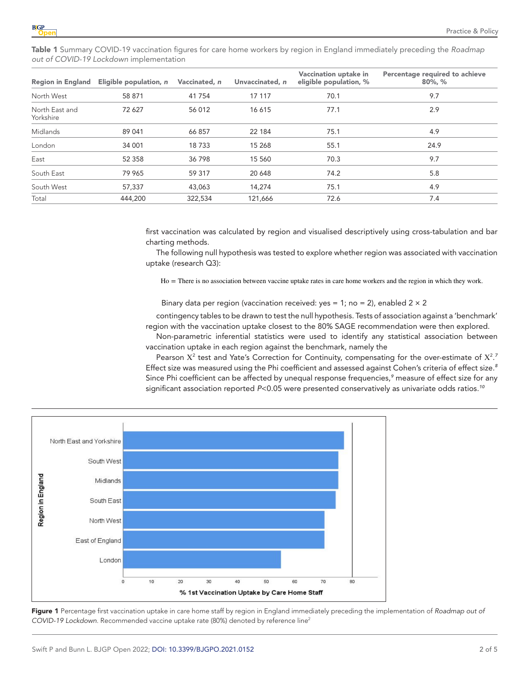<span id="page-1-0"></span>Table 1 Summary COVID-19 vaccination figures for care home workers by region in England immediately preceding the *Roadmap out of COVID-19 Lockdown* implementation

| <b>Region in England</b>    | Eligible population, n | Vaccinated, n | Unvaccinated, n | Vaccination uptake in<br>eligible population, % | Percentage required to achieve<br>$80\%$ , $\%$ |
|-----------------------------|------------------------|---------------|-----------------|-------------------------------------------------|-------------------------------------------------|
| North West                  | 58 871                 | 41 754        | 17 117          | 70.1                                            | 9.7                                             |
| North East and<br>Yorkshire | 72 627                 | 56 012        | 16 615          | 77.1                                            | 2.9                                             |
| Midlands                    | 89 041                 | 66 857        | 22 184          | 75.1                                            | 4.9                                             |
| London                      | 34 001                 | 18733         | 15 268          | 55.1                                            | 24.9                                            |
| East                        | 52 358                 | 36798         | 15 560          | 70.3                                            | 9.7                                             |
| South East                  | 79 965                 | 59 317        | 20 648          | 74.2                                            | 5.8                                             |
| South West                  | 57,337                 | 43.063        | 14.274          | 75.1                                            | 4.9                                             |
| Total                       | 444,200                | 322,534       | 121.666         | 72.6                                            | 7.4                                             |

first vaccination was calculated by region and visualised descriptively using cross-tabulation and bar charting methods.

The following null hypothesis was tested to explore whether region was associated with vaccination uptake (research Q3):

Ho = There is no association between vaccine uptake rates in care home workers and the region in which they work.

Binary data per region (vaccination received: yes = 1; no = 2), enabled  $2 \times 2$ 

contingency tables to be drawn to test the null hypothesis. Tests of association against a 'benchmark' region with the vaccination uptake closest to the 80% SAGE recommendation were then explored.

Non-parametric inferential statistics were used to identify any statistical association between vaccination uptake in each region against the benchmark, namely the

Pearson  $X^2$  test and Yate's Correction for Continuity, compensating for the over-estimate of  $X^2$ .<sup>[7](#page-3-6)</sup> Effect size was measured using the Phi coefficient and assessed against Cohen's criteria of effect size.*[8](#page-3-7)* Since Phi coefficient can be affected by unequal response frequencies,*[9](#page-3-8)* measure of effect size for any significant association reported *P*<0.05 were presented conservatively as univariate odds ratios.*[10](#page-3-9)*



<span id="page-1-1"></span>Figure 1 Percentage first vaccination uptake in care home staff by region in England immediately preceding the implementation of *Roadmap out of COVID-19 Lockdown*. Recommended vaccine uptake rate (80%) denoted by reference lin[e2](#page-3-1)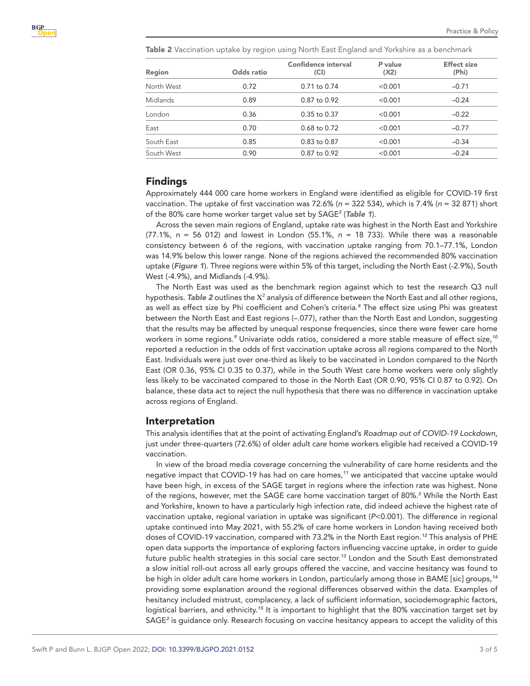<span id="page-2-0"></span>Table 2 Vaccination uptake by region using North East England and Yorkshire as a benchmark

| Region          | Odds ratio | Confidence interval<br>(CI) | P value<br>(X2) | <b>Effect size</b><br>(Phi) |
|-----------------|------------|-----------------------------|-----------------|-----------------------------|
| North West      | 0.72       | $0.71$ to $0.74$            | < 0.001         | $-0.71$                     |
| <b>Midlands</b> | 0.89       | $0.87$ to $0.92$            | < 0.001         | $-0.24$                     |
| London          | 0.36       | $0.35$ to $0.37$            | < 0.001         | $-0.22$                     |
| East            | 0.70       | $0.68$ to $0.72$            | < 0.001         | $-0.77$                     |
| South East      | 0.85       | $0.83$ to $0.87$            | < 0.001         | $-0.34$                     |
| South West      | 0.90       | $0.87$ to $0.92$            | < 0.001         | $-0.24$                     |

#### Findings

Approximately 444 000 care home workers in England were identified as eligible for COVID-19 first vaccination. The uptake of first vaccination was 72.6% (*n* = 322 534), which is 7.4% (*n* = 32 871) short of the 80% care home worker target value set by SAGE*[2](#page-3-1)* (*[Table 1](#page-1-0)*).

Across the seven main regions of England, uptake rate was highest in the North East and Yorkshire (77.1%, *n* = 56 012) and lowest in London (55.1%, *n* = 18 733). While there was a reasonable consistency between 6 of the regions, with vaccination uptake ranging from 70.1–77.1%, London was 14.9% below this lower range. None of the regions achieved the recommended 80% vaccination uptake (*[Figure 1](#page-1-1)*). Three regions were within 5% of this target, including the North East (-2.9%), South West (-4.9%), and Midlands (-4.9%).

The North East was used as the benchmark region against which to test the research Q3 null hypothesis. [Table 2](#page-2-0) outlines the X<sup>2</sup> analysis of difference between the North East and all other regions, as well as effect size by Phi coefficient and Cohen's criteria.*[8](#page-3-7)* The effect size using Phi was greatest between the North East and East regions (–.077), rather than the North East and London, suggesting that the results may be affected by unequal response frequencies, since there were fewer care home workers in some regions.*[9](#page-3-8)* Univariate odds ratios, considered a more stable measure of effect size,*[10](#page-3-9)* reported a reduction in the odds of first vaccination uptake across all regions compared to the North East. Individuals were just over one-third as likely to be vaccinated in London compared to the North East (OR 0.36, 95% CI 0.35 to 0.37), while in the South West care home workers were only slightly less likely to be vaccinated compared to those in the North East (OR 0.90, 95% CI 0.87 to 0.92). On balance, these data act to reject the null hypothesis that there was no difference in vaccination uptake across regions of England.

#### Interpretation

This analysis identifies that at the point of activating England's *Roadmap out of COVID-19 Lockdown*, just under three-quarters (72.6%) of older adult care home workers eligible had received a COVID-19 vaccination.

In view of the broad media coverage concerning the vulnerability of care home residents and the negative impact that COVID-19 has had on care homes,*[11](#page-3-10)* we anticipated that vaccine uptake would have been high, in excess of the SAGE target in regions where the infection rate was highest. None of the regions, however, met the SAGE care home vaccination target of 80%.*[2](#page-3-1)* While the North East and Yorkshire, known to have a particularly high infection rate, did indeed achieve the highest rate of vaccination uptake, regional variation in uptake was significant (*P*<0.001). The difference in regional uptake continued into May 2021, with 55.2% of care home workers in London having received both doses of COVID-19 vaccination, compared with 73.2% in the North East region.*[12](#page-4-0)* This analysis of PHE open data supports the importance of exploring factors influencing vaccine uptake, in order to guide future public health strategies in this social care sector.*[13](#page-4-1)* London and the South East demonstrated a slow initial roll-out across all early groups offered the vaccine, and vaccine hesitancy was found to be high in older adult care home workers in London, particularly among those in BAME [sic] groups,*[14](#page-4-2)* providing some explanation around the regional differences observed within the data. Examples of hesitancy included mistrust, complacency, a lack of sufficient information, sociodemographic factors, logistical barriers, and ethnicity.*[15](#page-4-3)* It is important to highlight that the 80% vaccination target set by SAGE*[2](#page-3-1)* is guidance only. Research focusing on vaccine hesitancy appears to accept the validity of this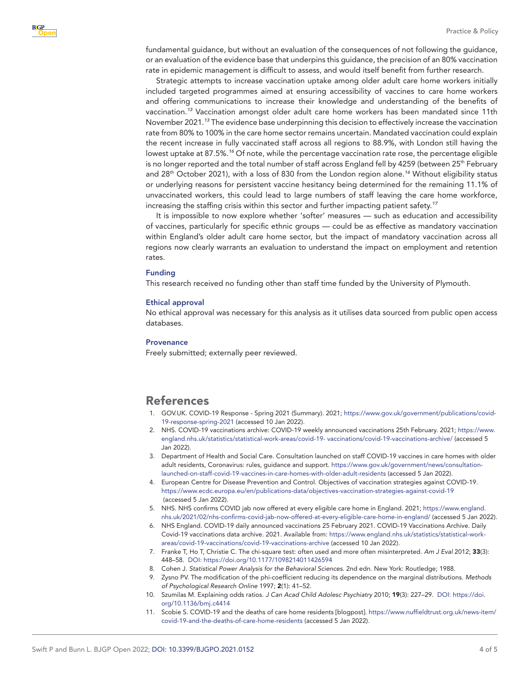fundamental guidance, but without an evaluation of the consequences of not following the guidance, or an evaluation of the evidence base that underpins this guidance, the precision of an 80% vaccination rate in epidemic management is difficult to assess, and would itself benefit from further research.

Strategic attempts to increase vaccination uptake among older adult care home workers initially included targeted programmes aimed at ensuring accessibility of vaccines to care home workers and offering communications to increase their knowledge and understanding of the benefits of vaccination.*[13](#page-4-1)* Vaccination amongst older adult care home workers has been mandated since 11th November 2021.*[13](#page-4-1)* The evidence base underpinning this decision to effectively increase the vaccination rate from 80% to 100% in the care home sector remains uncertain. Mandated vaccination could explain the recent increase in fully vaccinated staff across all regions to 88.9%, with London still having the lowest uptake at 87.5%.*[16](#page-4-4)* Of note, while the percentage vaccination rate rose, the percentage eligible is no longer reported and the total number of staff across England fell by 4259 (between 25<sup>th</sup> February and 28th October 2021), with a loss of 830 from the London region alone.*[16](#page-4-4)* Without eligibility status or underlying reasons for persistent vaccine hesitancy being determined for the remaining 11.1% of unvaccinated workers, this could lead to large numbers of staff leaving the care home workforce, increasing the staffing crisis within this sector and further impacting patient safety.*[17](#page-4-5)*

It is impossible to now explore whether 'softer' measures — such as education and accessibility of vaccines, particularly for specific ethnic groups — could be as effective as mandatory vaccination within England's older adult care home sector, but the impact of mandatory vaccination across all regions now clearly warrants an evaluation to understand the impact on employment and retention rates.

#### Funding

This research received no funding other than staff time funded by the University of Plymouth.

#### Ethical approval

No ethical approval was necessary for this analysis as it utilises data sourced from public open access databases.

#### **Provenance**

Freely submitted; externally peer reviewed.

## References

- <span id="page-3-0"></span>1. GOV.UK. COVID-19 Response - Spring 2021 (Summary). 2021; [https://www.gov.uk/government/publications/covid-](https://www.gov.uk/government/publications/covid-19-response-spring-2021)[19-response-spring-2021](https://www.gov.uk/government/publications/covid-19-response-spring-2021) (accessed 10 Jan 2022).
- <span id="page-3-1"></span>2. NHS. COVID-19 vaccinations archive: COVID-19 weekly announced vaccinations 25th February. 2021; [https://www.](https://www.england.nhs.uk/statistics/statistical-work-areas/covid-19-%20vaccinations/covid-19-vaccinations-archive/) [england.nhs.uk/statistics/statistical-work-areas/covid-19- vaccinations/covid-19-vaccinations-archive/](https://www.england.nhs.uk/statistics/statistical-work-areas/covid-19-%20vaccinations/covid-19-vaccinations-archive/) (accessed 5 Jan 2022).
- <span id="page-3-2"></span>3. Department of Health and Social Care. Consultation launched on staff COVID-19 vaccines in care homes with older adult residents, Coronavirus: rules, guidance and support. [https://www.gov.uk/government/news/consultation](https://www.gov.uk/government/news/consultation-launched-on-staff-covid-19-vaccines-in-care-homes-with-older-adult-residents)[launched-on-staff-covid-19-vaccines-in-care-homes-with-older-adult-residents](https://www.gov.uk/government/news/consultation-launched-on-staff-covid-19-vaccines-in-care-homes-with-older-adult-residents) (accessed 5 Jan 2022).
- <span id="page-3-3"></span>4. European Centre for Disease Prevention and Control. Objectives of vaccination strategies against COVID-19. <https://www.ecdc.europa.eu/en/publications-data/objectives-vaccination-strategies-against-covid-19> (accessed 5 Jan 2022).
- <span id="page-3-4"></span>5. NHS. NHS confirms COVID jab now offered at every eligible care home in England. 2021; [https://www.england.](https://www.england.nhs.uk/2021/02/nhs-confirms-covid-jab-now-offered-at-every-eligible-care-home-in-england/) [nhs.uk/2021/02/nhs-confirms-covid-jab-now-offered-at-every-eligible-care-home-in-england/](https://www.england.nhs.uk/2021/02/nhs-confirms-covid-jab-now-offered-at-every-eligible-care-home-in-england/) (accessed 5 Jan 2022).
- <span id="page-3-5"></span>6. NHS England. COVID-19 daily announced vaccinations 25 February 2021. COVID-19 Vaccinations Archive. Daily Covid-19 vaccinations data archive. 2021. Available from: [https://www.england.nhs.uk/statistics/statistical-work](https://www.england.nhs.uk/statistics/statistical-work-areas/covid-19-vaccinations/covid-19-vaccinations-archive)[areas/covid-19-vaccinations/covid-19-vaccinations-archive](https://www.england.nhs.uk/statistics/statistical-work-areas/covid-19-vaccinations/covid-19-vaccinations-archive) (accessed 10 Jan 2022).
- <span id="page-3-6"></span>7. Franke T, Ho T, Christie C. The chi-square test: often used and more often misinterpreted. *Am J Eval* 2012; 33(3): 448–58. DOI:<https://doi.org/10.1177/1098214011426594>
- <span id="page-3-7"></span>8. Cohen J. *Statistical Power Analysis for the Behavioral Sciences*. 2nd edn. New York: Routledge; 1988.
- <span id="page-3-8"></span>9. Zysno PV. The modification of the phi-coefficient reducing its dependence on the marginal distributions. *Methods of Psychological Research Online* 1997; 2(1): 41–52.
- <span id="page-3-9"></span>10. Szumilas M. Explaining odds ratios. *J Can Acad Child Adolesc Psychiatry* 2010; 19(3): 227–29. DOI: [https://doi.](https://doi.org/10.1136/bmj.c4414) [org/10.1136/bmj.c4414](https://doi.org/10.1136/bmj.c4414)
- <span id="page-3-10"></span>11. Scobie S. COVID-19 and the deaths of care home residents [blogpost]. [https://www.nuffieldtrust.org.uk/news-item/](https://www.nuffieldtrust.org.uk/news-item/covid-19-and-the-deaths-of-care-home-residents) [covid-19-and-the-deaths-of-care-home-residents](https://www.nuffieldtrust.org.uk/news-item/covid-19-and-the-deaths-of-care-home-residents) (accessed 5 Jan 2022).